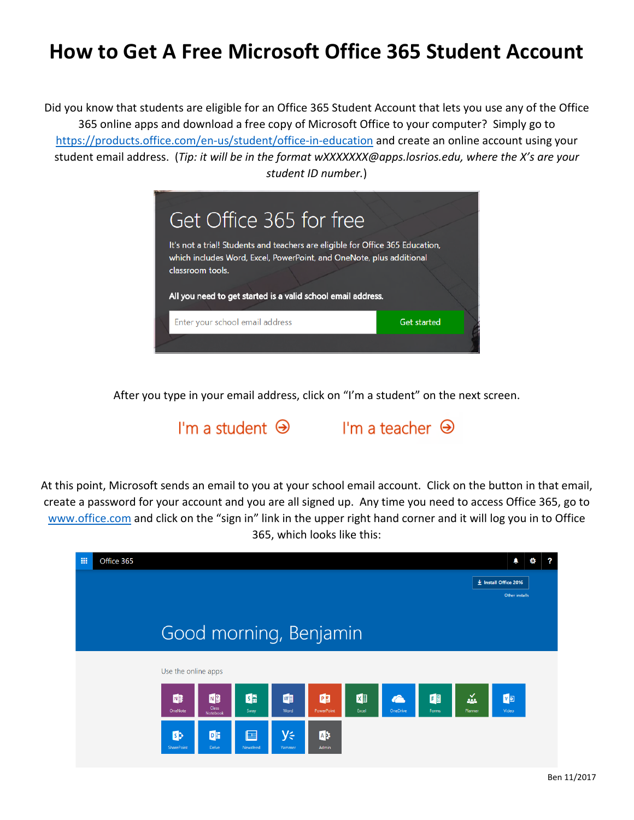## **How to Get A Free Microsoft Office 365 Student Account**

Did you know that students are eligible for an Office 365 Student Account that lets you use any of the Office 365 online apps and download a free copy of Microsoft Office to your computer? Simply go to <https://products.office.com/en-us/student/office-in-education> and create an online account using your student email address. (*Tip: it will be in the format wXXXXXXX@apps.losrios.edu, where the X's are your student ID number.*)



After you type in your email address, click on "I'm a student" on the next screen.

I'm a student  $\Theta$  I'm a teacher  $\Theta$ 

At this point, Microsoft sends an email to you at your school email account. Click on the button in that email, create a password for your account and you are all signed up. Any time you need to access Office 365, go to [www.office.com](http://www.office.com/) and click on the "sign in" link in the upper right hand corner and it will log you in to Office 365, which looks like this: